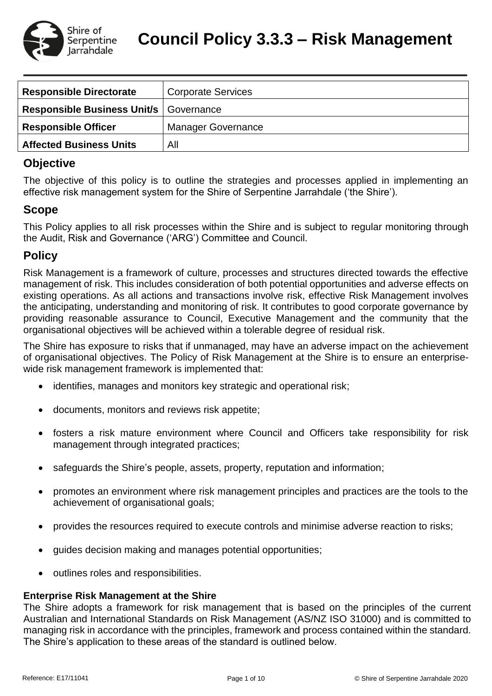

**Council Policy 3.3.3 – Risk Management**

| <b>Responsible Directorate</b>                  | <b>Corporate Services</b> |
|-------------------------------------------------|---------------------------|
| <b>Responsible Business Unit/s   Governance</b> |                           |
| <b>Responsible Officer</b>                      | <b>Manager Governance</b> |
| <b>Affected Business Units</b>                  | All                       |

# **Objective**

The objective of this policy is to outline the strategies and processes applied in implementing an effective risk management system for the Shire of Serpentine Jarrahdale ('the Shire').

# **Scope**

This Policy applies to all risk processes within the Shire and is subject to regular monitoring through the Audit, Risk and Governance ('ARG') Committee and Council.

# **Policy**

Risk Management is a framework of culture, processes and structures directed towards the effective management of risk. This includes consideration of both potential opportunities and adverse effects on existing operations. As all actions and transactions involve risk, effective Risk Management involves the anticipating, understanding and monitoring of risk. It contributes to good corporate governance by providing reasonable assurance to Council, Executive Management and the community that the organisational objectives will be achieved within a tolerable degree of residual risk.

The Shire has exposure to risks that if unmanaged, may have an adverse impact on the achievement of organisational objectives. The Policy of Risk Management at the Shire is to ensure an enterprisewide risk management framework is implemented that:

- identifies, manages and monitors key strategic and operational risk;
- documents, monitors and reviews risk appetite;
- fosters a risk mature environment where Council and Officers take responsibility for risk management through integrated practices;
- safeguards the Shire's people, assets, property, reputation and information;
- promotes an environment where risk management principles and practices are the tools to the achievement of organisational goals;
- provides the resources required to execute controls and minimise adverse reaction to risks;
- guides decision making and manages potential opportunities;
- outlines roles and responsibilities.

# **Enterprise Risk Management at the Shire**

The Shire adopts a framework for risk management that is based on the principles of the current Australian and International Standards on Risk Management (AS/NZ ISO 31000) and is committed to managing risk in accordance with the principles, framework and process contained within the standard. The Shire's application to these areas of the standard is outlined below.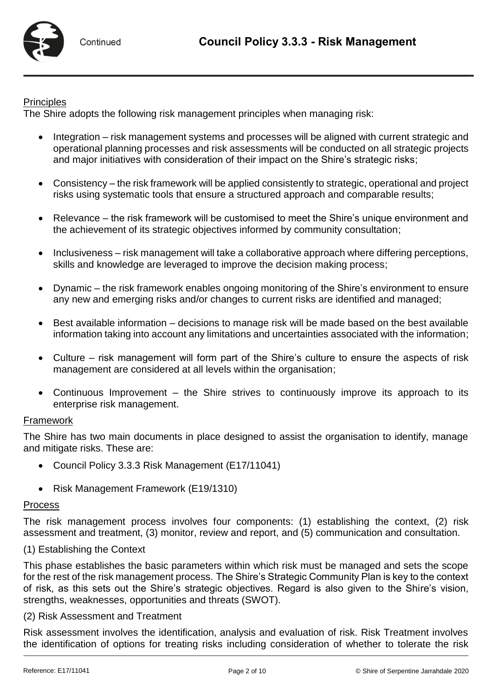

### **Principles**

The Shire adopts the following risk management principles when managing risk:

- Integration risk management systems and processes will be aligned with current strategic and operational planning processes and risk assessments will be conducted on all strategic projects and major initiatives with consideration of their impact on the Shire's strategic risks;
- Consistency the risk framework will be applied consistently to strategic, operational and project risks using systematic tools that ensure a structured approach and comparable results;
- Relevance the risk framework will be customised to meet the Shire's unique environment and the achievement of its strategic objectives informed by community consultation;
- Inclusiveness risk management will take a collaborative approach where differing perceptions, skills and knowledge are leveraged to improve the decision making process;
- Dynamic the risk framework enables ongoing monitoring of the Shire's environment to ensure any new and emerging risks and/or changes to current risks are identified and managed;
- Best available information decisions to manage risk will be made based on the best available information taking into account any limitations and uncertainties associated with the information;
- Culture risk management will form part of the Shire's culture to ensure the aspects of risk management are considered at all levels within the organisation;
- Continuous Improvement the Shire strives to continuously improve its approach to its enterprise risk management.

### Framework

The Shire has two main documents in place designed to assist the organisation to identify, manage and mitigate risks. These are:

- Council Policy 3.3.3 Risk Management (E17/11041)
- Risk Management Framework (E19/1310)

### Process

The risk management process involves four components: (1) establishing the context, (2) risk assessment and treatment, (3) monitor, review and report, and (5) communication and consultation.

### (1) Establishing the Context

This phase establishes the basic parameters within which risk must be managed and sets the scope for the rest of the risk management process. The Shire's Strategic Community Plan is key to the context of risk, as this sets out the Shire's strategic objectives. Regard is also given to the Shire's vision, strengths, weaknesses, opportunities and threats (SWOT).

### (2) Risk Assessment and Treatment

Risk assessment involves the identification, analysis and evaluation of risk. Risk Treatment involves the identification of options for treating risks including consideration of whether to tolerate the risk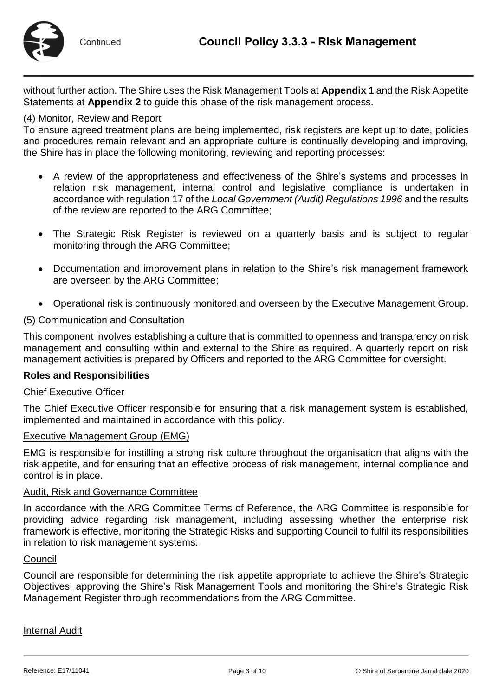

without further action. The Shire uses the Risk Management Tools at **Appendix 1** and the Risk Appetite Statements at **Appendix 2** to guide this phase of the risk management process.

### (4) Monitor, Review and Report

To ensure agreed treatment plans are being implemented, risk registers are kept up to date, policies and procedures remain relevant and an appropriate culture is continually developing and improving, the Shire has in place the following monitoring, reviewing and reporting processes:

- A review of the appropriateness and effectiveness of the Shire's systems and processes in relation risk management, internal control and legislative compliance is undertaken in accordance with regulation 17 of the *Local Government (Audit) Regulations 1996* and the results of the review are reported to the ARG Committee;
- The Strategic Risk Register is reviewed on a quarterly basis and is subject to regular monitoring through the ARG Committee;
- Documentation and improvement plans in relation to the Shire's risk management framework are overseen by the ARG Committee;
- Operational risk is continuously monitored and overseen by the Executive Management Group.

### (5) Communication and Consultation

This component involves establishing a culture that is committed to openness and transparency on risk management and consulting within and external to the Shire as required. A quarterly report on risk management activities is prepared by Officers and reported to the ARG Committee for oversight.

### **Roles and Responsibilities**

### Chief Executive Officer

The Chief Executive Officer responsible for ensuring that a risk management system is established, implemented and maintained in accordance with this policy.

#### Executive Management Group (EMG)

EMG is responsible for instilling a strong risk culture throughout the organisation that aligns with the risk appetite, and for ensuring that an effective process of risk management, internal compliance and control is in place.

#### Audit, Risk and Governance Committee

In accordance with the ARG Committee Terms of Reference, the ARG Committee is responsible for providing advice regarding risk management, including assessing whether the enterprise risk framework is effective, monitoring the Strategic Risks and supporting Council to fulfil its responsibilities in relation to risk management systems.

#### **Council**

Council are responsible for determining the risk appetite appropriate to achieve the Shire's Strategic Objectives, approving the Shire's Risk Management Tools and monitoring the Shire's Strategic Risk Management Register through recommendations from the ARG Committee.

Internal Audit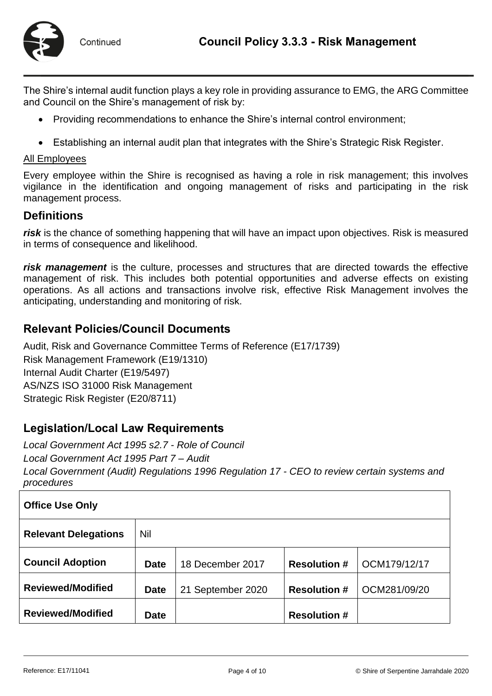

The Shire's internal audit function plays a key role in providing assurance to EMG, the ARG Committee and Council on the Shire's management of risk by:

- Providing recommendations to enhance the Shire's internal control environment;
- Establishing an internal audit plan that integrates with the Shire's Strategic Risk Register.

### All Employees

Every employee within the Shire is recognised as having a role in risk management; this involves vigilance in the identification and ongoing management of risks and participating in the risk management process.

## **Definitions**

*risk* is the chance of something happening that will have an impact upon objectives. Risk is measured in terms of consequence and likelihood.

*risk management* is the culture, processes and structures that are directed towards the effective management of risk. This includes both potential opportunities and adverse effects on existing operations. As all actions and transactions involve risk, effective Risk Management involves the anticipating, understanding and monitoring of risk.

# **Relevant Policies/Council Documents**

Audit, Risk and Governance Committee Terms of Reference (E17/1739) Risk Management Framework (E19/1310) Internal Audit Charter (E19/5497) AS/NZS ISO 31000 Risk Management Strategic Risk Register (E20/8711)

# **Legislation/Local Law Requirements**

*Local Government Act 1995 s2.7 - Role of Council Local Government Act 1995 Part 7 – Audit Local Government (Audit) Regulations 1996 Regulation 17 - CEO to review certain systems and procedures*

| <b>Office Use Only</b>      |             |                   |                     |              |  |  |
|-----------------------------|-------------|-------------------|---------------------|--------------|--|--|
| <b>Relevant Delegations</b> | Nil         |                   |                     |              |  |  |
| <b>Council Adoption</b>     | <b>Date</b> | 18 December 2017  | <b>Resolution #</b> | OCM179/12/17 |  |  |
| <b>Reviewed/Modified</b>    | <b>Date</b> | 21 September 2020 | <b>Resolution #</b> | OCM281/09/20 |  |  |
| <b>Reviewed/Modified</b>    | <b>Date</b> |                   | <b>Resolution #</b> |              |  |  |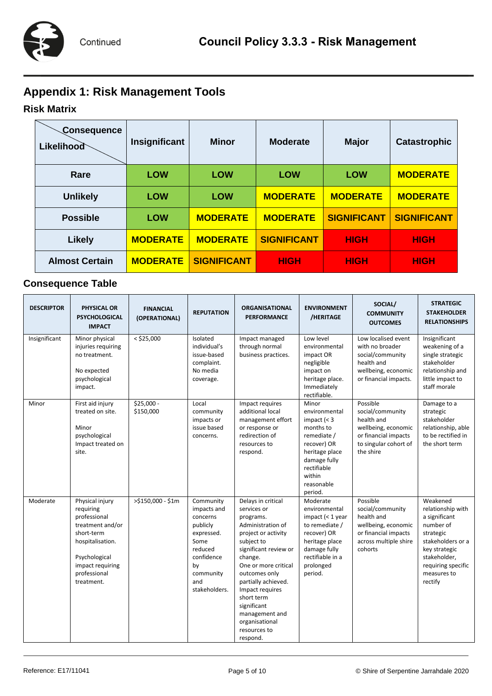# **Appendix 1: Risk Management Tools**

# **Risk Matrix**

| Consequence<br><b>Likelihood</b> | Insignificant   | <b>Minor</b>       | <b>Moderate</b>    | <b>Major</b>       | <b>Catastrophic</b> |
|----------------------------------|-----------------|--------------------|--------------------|--------------------|---------------------|
| Rare                             | <b>LOW</b>      | <b>LOW</b>         | <b>LOW</b>         | <b>LOW</b>         | <b>MODERATE</b>     |
| <b>Unlikely</b>                  | <b>LOW</b>      | <b>LOW</b>         | <b>MODERATE</b>    | <b>MODERATE</b>    | <b>MODERATE</b>     |
| <b>Possible</b>                  | <b>LOW</b>      | <b>MODERATE</b>    | <b>MODERATE</b>    | <b>SIGNIFICANT</b> | <b>SIGNIFICANT</b>  |
| <b>Likely</b>                    | <b>MODERATE</b> | <b>MODERATE</b>    | <b>SIGNIFICANT</b> | <b>HIGH</b>        | <b>HIGH</b>         |
| <b>Almost Certain</b>            | <b>MODERATE</b> | <b>SIGNIFICANT</b> | <b>HIGH</b>        | <b>HIGH</b>        | <b>HIGH</b>         |

# **Consequence Table**

| <b>DESCRIPTOR</b> | <b>PHYSICAL OR</b><br><b>PSYCHOLOGICAL</b><br><b>IMPACT</b>                                                                                                           | <b>FINANCIAL</b><br>(OPERATIONAL) | <b>REPUTATION</b>                                                                                                                          | <b>ORGANISATIONAL</b><br><b>PERFORMANCE</b>                                                                                                                                                                                                                                                                                  | <b>ENVIRONMENT</b><br>/HERITAGE                                                                                                                                      | SOCIAL/<br><b>COMMUNITY</b><br><b>OUTCOMES</b>                                                                                  | <b>STRATEGIC</b><br><b>STAKEHOLDER</b><br><b>RELATIONSHIPS</b>                                                                                                                 |
|-------------------|-----------------------------------------------------------------------------------------------------------------------------------------------------------------------|-----------------------------------|--------------------------------------------------------------------------------------------------------------------------------------------|------------------------------------------------------------------------------------------------------------------------------------------------------------------------------------------------------------------------------------------------------------------------------------------------------------------------------|----------------------------------------------------------------------------------------------------------------------------------------------------------------------|---------------------------------------------------------------------------------------------------------------------------------|--------------------------------------------------------------------------------------------------------------------------------------------------------------------------------|
| Insignificant     | Minor physical<br>injuries requiring<br>no treatment.<br>No expected<br>psychological<br>impact.                                                                      | $<$ \$25,000                      | Isolated<br>individual's<br>issue-based<br>complaint.<br>No media<br>coverage.                                                             | Impact managed<br>through normal<br>business practices.                                                                                                                                                                                                                                                                      | Low level<br>environmental<br>impact OR<br>negligible<br>impact on<br>heritage place.<br>Immediately<br>rectifiable.                                                 | Low localised event<br>with no broader<br>social/community<br>health and<br>wellbeing, economic<br>or financial impacts.        | Insignificant<br>weakening of a<br>single strategic<br>stakeholder<br>relationship and<br>little impact to<br>staff morale                                                     |
| Minor             | First aid injury<br>treated on site.<br>Minor<br>psychological<br>Impact treated on<br>site.                                                                          | $$25,000 -$<br>\$150,000          | Local<br>community<br>impacts or<br>issue based<br>concerns.                                                                               | Impact requires<br>additional local<br>management effort<br>or response or<br>redirection of<br>resources to<br>respond.                                                                                                                                                                                                     | Minor<br>environmental<br>impact $(3$<br>months to<br>remediate /<br>recover) OR<br>heritage place<br>damage fully<br>rectifiable<br>within<br>reasonable<br>period. | Possible<br>social/community<br>health and<br>wellbeing, economic<br>or financial impacts<br>to singular cohort of<br>the shire | Damage to a<br>strategic<br>stakeholder<br>relationship, able<br>to be rectified in<br>the short term                                                                          |
| Moderate          | Physical injury<br>requiring<br>professional<br>treatment and/or<br>short-term<br>hospitalisation.<br>Psychological<br>impact requiring<br>professional<br>treatment. | >\$150,000 - \$1m                 | Community<br>impacts and<br>concerns<br>publicly<br>expressed.<br>Some<br>reduced<br>confidence<br>by<br>community<br>and<br>stakeholders. | Delays in critical<br>services or<br>programs.<br>Administration of<br>project or activity<br>subject to<br>significant review or<br>change.<br>One or more critical<br>outcomes only<br>partially achieved.<br>Impact requires<br>short term<br>significant<br>management and<br>organisational<br>resources to<br>respond. | Moderate<br>environmental<br>impact $(1 yearto remediate /recover) ORheritage placedamage fullyrectifiable in aprolongedperiod.$                                     | Possible<br>social/community<br>health and<br>wellbeing, economic<br>or financial impacts<br>across multiple shire<br>cohorts   | Weakened<br>relationship with<br>a significant<br>number of<br>strategic<br>stakeholders or a<br>key strategic<br>stakeholder,<br>requiring specific<br>measures to<br>rectify |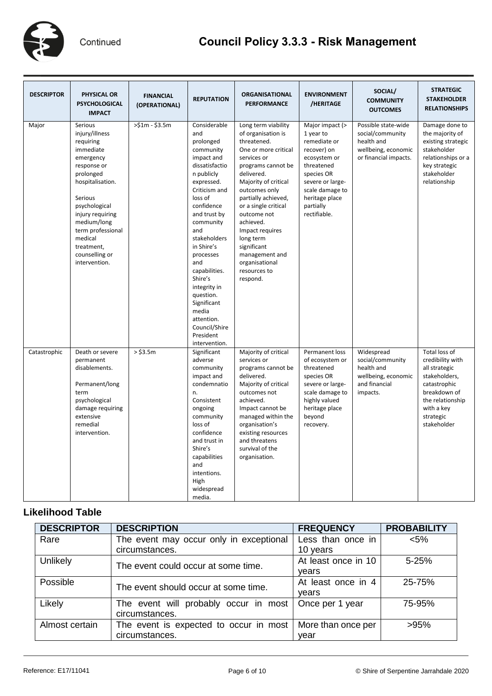

# **Council Policy 3.3.3 - Risk Management**

| <b>DESCRIPTOR</b> | <b>PHYSICAL OR</b><br><b>PSYCHOLOGICAL</b><br><b>IMPACT</b>                                                                                                                                                                                                      | <b>FINANCIAL</b><br>(OPERATIONAL) | <b>REPUTATION</b>                                                                                                                                                                                                                                                                                                                                                                       | <b>ORGANISATIONAL</b><br><b>PERFORMANCE</b>                                                                                                                                                                                                                                                                                                                            | <b>ENVIRONMENT</b><br>/HERITAGE                                                                                                                                                               | SOCIAL/<br><b>COMMUNITY</b><br><b>OUTCOMES</b>                                                        | <b>STRATEGIC</b><br><b>STAKEHOLDER</b><br><b>RELATIONSHIPS</b>                                                                                                    |
|-------------------|------------------------------------------------------------------------------------------------------------------------------------------------------------------------------------------------------------------------------------------------------------------|-----------------------------------|-----------------------------------------------------------------------------------------------------------------------------------------------------------------------------------------------------------------------------------------------------------------------------------------------------------------------------------------------------------------------------------------|------------------------------------------------------------------------------------------------------------------------------------------------------------------------------------------------------------------------------------------------------------------------------------------------------------------------------------------------------------------------|-----------------------------------------------------------------------------------------------------------------------------------------------------------------------------------------------|-------------------------------------------------------------------------------------------------------|-------------------------------------------------------------------------------------------------------------------------------------------------------------------|
| Major             | Serious<br>injury/illness<br>requiring<br>immediate<br>emergency<br>response or<br>prolonged<br>hospitalisation.<br>Serious<br>psychological<br>injury requiring<br>medium/long<br>term professional<br>medical<br>treatment,<br>counselling or<br>intervention. | $>51m - 53.5m$                    | Considerable<br>and<br>prolonged<br>community<br>impact and<br>dissatisfactio<br>n publicly<br>expressed.<br>Criticism and<br>loss of<br>confidence<br>and trust by<br>community<br>and<br>stakeholders<br>in Shire's<br>processes<br>and<br>capabilities.<br>Shire's<br>integrity in<br>question.<br>Significant<br>media<br>attention.<br>Council/Shire<br>President<br>intervention. | Long term viability<br>of organisation is<br>threatened.<br>One or more critical<br>services or<br>programs cannot be<br>delivered.<br>Majority of critical<br>outcomes only<br>partially achieved,<br>or a single critical<br>outcome not<br>achieved.<br>Impact requires<br>long term<br>significant<br>management and<br>organisational<br>resources to<br>respond. | Major impact (><br>1 year to<br>remediate or<br>recover) on<br>ecosystem or<br>threatened<br>species OR<br>severe or large-<br>scale damage to<br>heritage place<br>partially<br>rectifiable. | Possible state-wide<br>social/community<br>health and<br>wellbeing, economic<br>or financial impacts. | Damage done to<br>the majority of<br>existing strategic<br>stakeholder<br>relationships or a<br>key strategic<br>stakeholder<br>relationship                      |
| Catastrophic      | Death or severe<br>permanent<br>disablements.<br>Permanent/long<br>term<br>psychological<br>damage requiring<br>extensive<br>remedial<br>intervention.                                                                                                           | $>$ \$3.5m                        | Significant<br>adverse<br>community<br>impact and<br>condemnatio<br>n.<br>Consistent<br>ongoing<br>community<br>loss of<br>confidence<br>and trust in<br>Shire's<br>capabilities<br>and<br>intentions.<br>High<br>widespread<br>media.                                                                                                                                                  | Majority of critical<br>services or<br>programs cannot be<br>delivered.<br>Majority of critical<br>outcomes not<br>achieved.<br>Impact cannot be<br>managed within the<br>organisation's<br>existing resources<br>and threatens<br>survival of the<br>organisation.                                                                                                    | Permanent loss<br>of ecosystem or<br>threatened<br>species OR<br>severe or large-<br>scale damage to<br>highly valued<br>heritage place<br>beyond<br>recovery.                                | Widespread<br>social/community<br>health and<br>wellbeing, economic<br>and financial<br>impacts.      | Total loss of<br>credibility with<br>all strategic<br>stakeholders,<br>catastrophic<br>breakdown of<br>the relationship<br>with a key<br>strategic<br>stakeholder |

## **Likelihood Table**

| <b>DESCRIPTOR</b> | <b>DESCRIPTION</b>                      | <b>FREQUENCY</b>    | <b>PROBABILITY</b> |
|-------------------|-----------------------------------------|---------------------|--------------------|
| Rare              | The event may occur only in exceptional | Less than once in   | $< 5\%$            |
|                   | circumstances.                          | 10 years            |                    |
| Unlikely          | The event could occur at some time.     | At least once in 10 | $5 - 25%$          |
|                   |                                         | vears               |                    |
| Possible          | The event should occur at some time.    | At least once in 4  | 25-75%             |
|                   |                                         | vears               |                    |
| Likely            | The event will probably occur in most   | Once per 1 year     | 75-95%             |
|                   | circumstances.                          |                     |                    |
| Almost certain    | The event is expected to occur in most  | More than once per  | >95%               |
|                   | circumstances.                          | vear                |                    |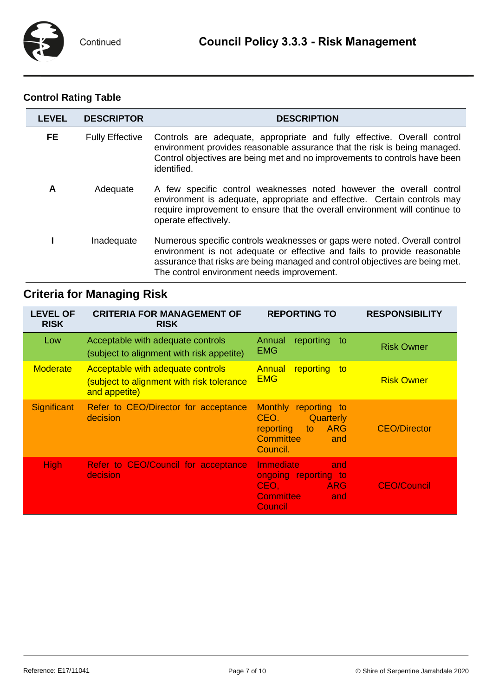# **Control Rating Table**

| <b>LEVEL</b> | <b>DESCRIPTOR</b>      | <b>DESCRIPTION</b>                                                                                                                                                                                                                                                                  |
|--------------|------------------------|-------------------------------------------------------------------------------------------------------------------------------------------------------------------------------------------------------------------------------------------------------------------------------------|
| FE.          | <b>Fully Effective</b> | Controls are adequate, appropriate and fully effective. Overall control<br>environment provides reasonable assurance that the risk is being managed.<br>Control objectives are being met and no improvements to controls have been<br>identified.                                   |
| A            | Adequate               | A few specific control weaknesses noted however the overall control<br>environment is adequate, appropriate and effective. Certain controls may<br>require improvement to ensure that the overall environment will continue to<br>operate effectively.                              |
|              | Inadequate             | Numerous specific controls weaknesses or gaps were noted. Overall control<br>environment is not adequate or effective and fails to provide reasonable<br>assurance that risks are being managed and control objectives are being met.<br>The control environment needs improvement. |

# **Criteria for Managing Risk**

| <b>LEVEL OF</b><br><b>RISK</b> | <b>CRITERIA FOR MANAGEMENT OF</b><br><b>RISK</b>                                                | <b>REPORTING TO</b>                                                                                                | <b>RESPONSIBILITY</b> |
|--------------------------------|-------------------------------------------------------------------------------------------------|--------------------------------------------------------------------------------------------------------------------|-----------------------|
| Low                            | Acceptable with adequate controls<br>(subject to alignment with risk appetite)                  | Annual<br>reporting<br>to<br><b>EMG</b>                                                                            | <b>Risk Owner</b>     |
| <b>Moderate</b>                | Acceptable with adequate controls<br>(subject to alignment with risk tolerance<br>and appetite) | <b>Annual</b><br>reporting<br>⊟to<br><b>EMG</b>                                                                    | <b>Risk Owner</b>     |
| Significant                    | Refer to CEO/Director for acceptance<br>decision                                                | Monthly reporting to<br>CEO.<br><b>Quarterly</b><br>ARG<br>reporting<br>to<br><b>Committee</b><br>and<br>Council.  | <b>CEO/Director</b>   |
| <b>High</b>                    | Refer to CEO/Council for acceptance<br>decision                                                 | <b>Immediate</b><br>and<br>ongoing reporting to<br>$CEO, \Box$<br><b>ARG</b><br><b>Committee</b><br>and<br>Council | <b>CEO/Council</b>    |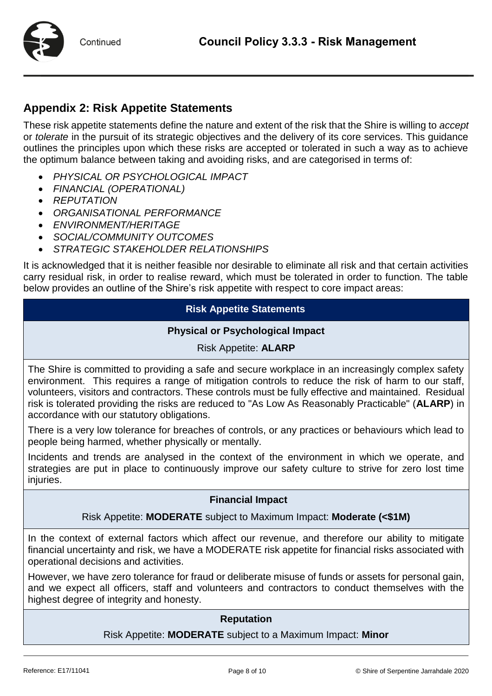



# **Appendix 2: Risk Appetite Statements**

These risk appetite statements define the nature and extent of the risk that the Shire is willing to *accept*  or *tolerate* in the pursuit of its strategic objectives and the delivery of its core services. This guidance outlines the principles upon which these risks are accepted or tolerated in such a way as to achieve the optimum balance between taking and avoiding risks, and are categorised in terms of:

- *PHYSICAL OR PSYCHOLOGICAL IMPACT*
- *FINANCIAL (OPERATIONAL)*
- *REPUTATION*
- *ORGANISATIONAL PERFORMANCE*
- *ENVIRONMENT/HERITAGE*
- *SOCIAL/COMMUNITY OUTCOMES*
- *STRATEGIC STAKEHOLDER RELATIONSHIPS*

It is acknowledged that it is neither feasible nor desirable to eliminate all risk and that certain activities carry residual risk, in order to realise reward, which must be tolerated in order to function. The table below provides an outline of the Shire's risk appetite with respect to core impact areas:

## **Risk Appetite Statements**

### **Physical or Psychological Impact**

## Risk Appetite: **ALARP**

The Shire is committed to providing a safe and secure workplace in an increasingly complex safety environment. This requires a range of mitigation controls to reduce the risk of harm to our staff, volunteers, visitors and contractors. These controls must be fully effective and maintained. Residual risk is tolerated providing the risks are reduced to "As Low As Reasonably Practicable" (**ALARP**) in accordance with our statutory obligations.

There is a very low tolerance for breaches of controls, or any practices or behaviours which lead to people being harmed, whether physically or mentally.

Incidents and trends are analysed in the context of the environment in which we operate, and strategies are put in place to continuously improve our safety culture to strive for zero lost time injuries.

### **Financial Impact**

### Risk Appetite: **MODERATE** subject to Maximum Impact: **Moderate (<\$1M)**

In the context of external factors which affect our revenue, and therefore our ability to mitigate financial uncertainty and risk, we have a MODERATE risk appetite for financial risks associated with operational decisions and activities.

However, we have zero tolerance for fraud or deliberate misuse of funds or assets for personal gain, and we expect all officers, staff and volunteers and contractors to conduct themselves with the highest degree of integrity and honesty.

### **Reputation**

Risk Appetite: **MODERATE** subject to a Maximum Impact: **Minor**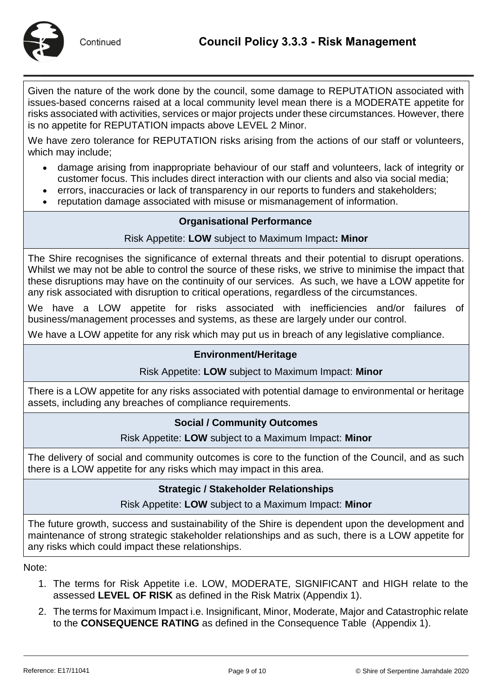

Given the nature of the work done by the council, some damage to REPUTATION associated with issues-based concerns raised at a local community level mean there is a MODERATE appetite for risks associated with activities, services or major projects under these circumstances. However, there is no appetite for REPUTATION impacts above LEVEL 2 Minor.

We have zero tolerance for REPUTATION risks arising from the actions of our staff or volunteers, which may include;

- damage arising from inappropriate behaviour of our staff and volunteers, lack of integrity or customer focus. This includes direct interaction with our clients and also via social media;
- errors, inaccuracies or lack of transparency in our reports to funders and stakeholders;
- reputation damage associated with misuse or mismanagement of information.

## **Organisational Performance**

## Risk Appetite: **LOW** subject to Maximum Impact**: Minor**

The Shire recognises the significance of external threats and their potential to disrupt operations. Whilst we may not be able to control the source of these risks, we strive to minimise the impact that these disruptions may have on the continuity of our services. As such, we have a LOW appetite for any risk associated with disruption to critical operations, regardless of the circumstances.

We have a LOW appetite for risks associated with inefficiencies and/or failures of business/management processes and systems, as these are largely under our control.

We have a LOW appetite for any risk which may put us in breach of any legislative compliance.

## **Environment/Heritage**

### Risk Appetite: **LOW** subject to Maximum Impact: **Minor**

There is a LOW appetite for any risks associated with potential damage to environmental or heritage assets, including any breaches of compliance requirements.

### **Social / Community Outcomes**

### Risk Appetite: **LOW** subject to a Maximum Impact: **Minor**

The delivery of social and community outcomes is core to the function of the Council, and as such there is a LOW appetite for any risks which may impact in this area.

### **Strategic / Stakeholder Relationships**

### Risk Appetite: **LOW** subject to a Maximum Impact: **Minor**

The future growth, success and sustainability of the Shire is dependent upon the development and maintenance of strong strategic stakeholder relationships and as such, there is a LOW appetite for any risks which could impact these relationships.

Note:

- 1. The terms for Risk Appetite i.e. LOW, MODERATE, SIGNIFICANT and HIGH relate to the assessed **LEVEL OF RISK** as defined in the Risk Matrix (Appendix 1).
- 2. The terms for Maximum Impact i.e. Insignificant, Minor, Moderate, Major and Catastrophic relate to the **CONSEQUENCE RATING** as defined in the Consequence Table (Appendix 1).